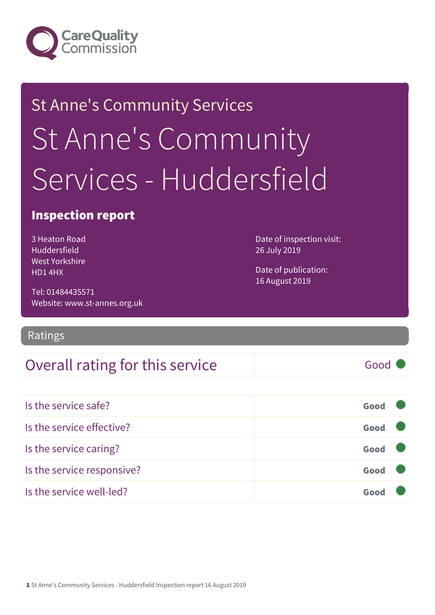

# St Anne's Community Services St Anne's Community Services - Huddersfield

### Inspection report

3 Heaton Road Huddersfield West Yorkshire HD1 4HX

Date of inspection visit: 26 July 2019

Date of publication: 16 August 2019

Tel: 01484435571 Website: www.st-annes.org.uk

#### Ratings

### Overall rating for this service Fig. 600 Good

| Is the service safe?       | Good |  |
|----------------------------|------|--|
| Is the service effective?  | Good |  |
| Is the service caring?     | Good |  |
| Is the service responsive? | Good |  |
| Is the service well-led?   |      |  |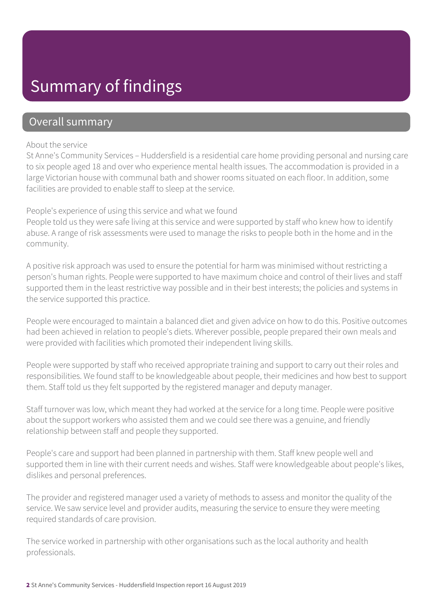### Summary of findings

### Overall summary

#### About the service

St Anne's Community Services – Huddersfield is a residential care home providing personal and nursing care to six people aged 18 and over who experience mental health issues. The accommodation is provided in a large Victorian house with communal bath and shower rooms situated on each floor. In addition, some facilities are provided to enable staff to sleep at the service.

#### People's experience of using this service and what we found

People told us they were safe living at this service and were supported by staff who knew how to identify abuse. A range of risk assessments were used to manage the risks to people both in the home and in the community.

A positive risk approach was used to ensure the potential for harm was minimised without restricting a person's human rights. People were supported to have maximum choice and control of their lives and staff supported them in the least restrictive way possible and in their best interests; the policies and systems in the service supported this practice.

People were encouraged to maintain a balanced diet and given advice on how to do this. Positive outcomes had been achieved in relation to people's diets. Wherever possible, people prepared their own meals and were provided with facilities which promoted their independent living skills.

People were supported by staff who received appropriate training and support to carry out their roles and responsibilities. We found staff to be knowledgeable about people, their medicines and how best to support them. Staff told us they felt supported by the registered manager and deputy manager.

Staff turnover was low, which meant they had worked at the service for a long time. People were positive about the support workers who assisted them and we could see there was a genuine, and friendly relationship between staff and people they supported.

People's care and support had been planned in partnership with them. Staff knew people well and supported them in line with their current needs and wishes. Staff were knowledgeable about people's likes, dislikes and personal preferences.

The provider and registered manager used a variety of methods to assess and monitor the quality of the service. We saw service level and provider audits, measuring the service to ensure they were meeting required standards of care provision.

The service worked in partnership with other organisations such as the local authority and health professionals.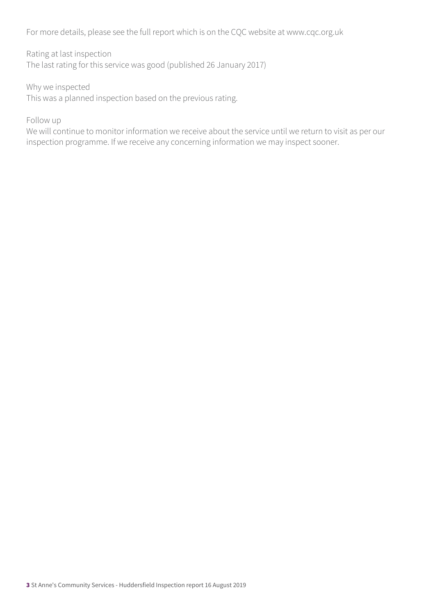For more details, please see the full report which is on the CQC website at www.cqc.org.uk

Rating at last inspection The last rating for this service was good (published 26 January 2017)

Why we inspected This was a planned inspection based on the previous rating.

Follow up

We will continue to monitor information we receive about the service until we return to visit as per our inspection programme. If we receive any concerning information we may inspect sooner.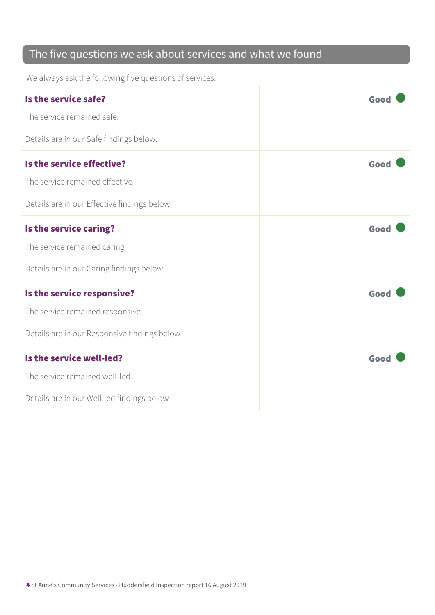### The five questions we ask about services and what we found

We always ask the following five questions of services.

| Is the service safe?                         | Good |
|----------------------------------------------|------|
| The service remained safe.                   |      |
| Details are in our Safe findings below.      |      |
| Is the service effective?                    | Good |
| The service remained effective               |      |
| Details are in our Effective findings below. |      |
| Is the service caring?                       | Good |
| The service remained caring                  |      |
| Details are in our Caring findings below.    |      |
| Is the service responsive?                   | Good |
| The service remained responsive              |      |
| Details are in our Responsive findings below |      |
| Is the service well-led?                     | Good |
| The service remained well-led                |      |
| Details are in our Well-led findings below   |      |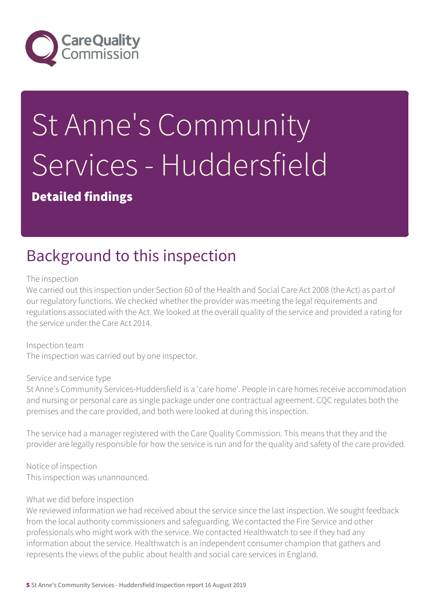

# St Anne's Community Services - Huddersfield

Detailed findings

## Background to this inspection

The inspection

We carried out this inspection under Section 60 of the Health and Social Care Act 2008 (the Act) as part of our regulatory functions. We checked whether the provider was meeting the legal requirements and regulations associated with the Act. We looked at the overall quality of the service and provided a rating for the service under the Care Act 2014.

Inspection team The inspection was carried out by one inspector.

#### Service and service type

St Anne's Community Services-Huddersfield is a 'care home'. People in care homes receive accommodation and nursing or personal care as single package under one contractual agreement. CQC regulates both the premises and the care provided, and both were looked at during this inspection.

The service had a manager registered with the Care Quality Commission. This means that they and the provider are legally responsible for how the service is run and for the quality and safety of the care provided.

Notice of inspection This inspection was unannounced.

#### What we did before inspection

We reviewed information we had received about the service since the last inspection. We sought feedback from the local authority commissioners and safeguarding. We contacted the Fire Service and other professionals who might work with the service. We contacted Healthwatch to see if they had any information about the service. Healthwatch is an independent consumer champion that gathers and represents the views of the public about health and social care services in England.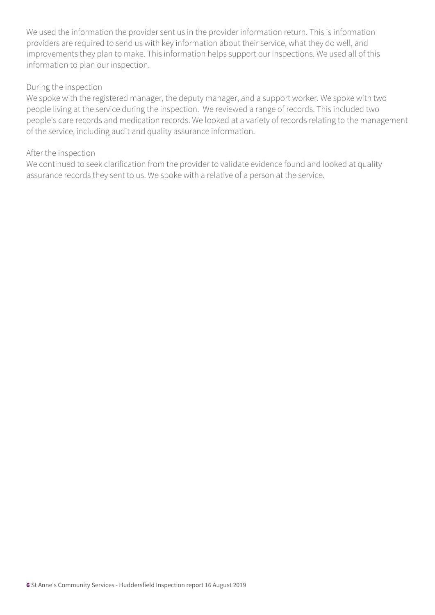We used the information the provider sent us in the provider information return. This is information providers are required to send us with key information about their service, what they do well, and improvements they plan to make. This information helps support our inspections. We used all of this information to plan our inspection.

#### During the inspection

We spoke with the registered manager, the deputy manager, and a support worker. We spoke with two people living at the service during the inspection. We reviewed a range of records. This included two people's care records and medication records. We looked at a variety of records relating to the management of the service, including audit and quality assurance information.

#### After the inspection

We continued to seek clarification from the provider to validate evidence found and looked at quality assurance records they sent to us. We spoke with a relative of a person at the service.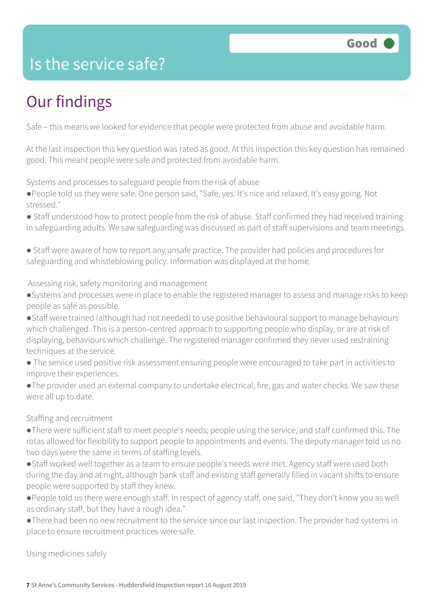### Is the service safe?

# Our findings

Safe – this means we looked for evidence that people were protected from abuse and avoidable harm.

At the last inspection this key question was rated as good. At this inspection this key question has remained good. This meant people were safe and protected from avoidable harm.

Systems and processes to safeguard people from the risk of abuse

- ●People told us they were safe. One person said, "Safe, yes. It's nice and relaxed. It's easy going. Not stressed."
- Staff understood how to protect people from the risk of abuse. Staff confirmed they had received training in safeguarding adults. We saw safeguarding was discussed as part of staff supervisions and team meetings.
- Staff were aware of how to report any unsafe practice. The provider had policies and procedures for safeguarding and whistleblowing policy. Information was displayed at the home.

#### Assessing risk, safety monitoring and management

- ●Systems and processes were in place to enable the registered manager to assess and manage risks to keep people as safe as possible.
- ●Staff were trained (although had not needed) to use positive behavioural support to manage behaviours which challenged. This is a person-centred approach to supporting people who display, or are at risk of displaying, behaviours which challenge. The registered manager confirmed they never used restraining techniques at the service.
- The service used positive risk assessment ensuring people were encouraged to take part in activities to improve their experiences.
- ●The provider used an external company to undertake electrical, fire, gas and water checks. We saw these were all up to date.

#### Staffing and recruitment

- ●There were sufficient staff to meet people's needs; people using the service, and staff confirmed this. The rotas allowed for flexibility to support people to appointments and events. The deputy manager told us no two days were the same in terms of staffing levels.
- ●Staff worked well together as a team to ensure people's needs were met. Agency staff were used both during the day and at night, although bank staff and existing staff generally filled in vacant shifts to ensure people were supported by staff they knew.
- ●People told us there were enough staff. In respect of agency staff, one said, "They don't know you as well as ordinary staff, but they have a rough idea."
- ●There had been no new recruitment to the service since our last inspection. The provider had systems in place to ensure recruitment practices were safe.

Using medicines safely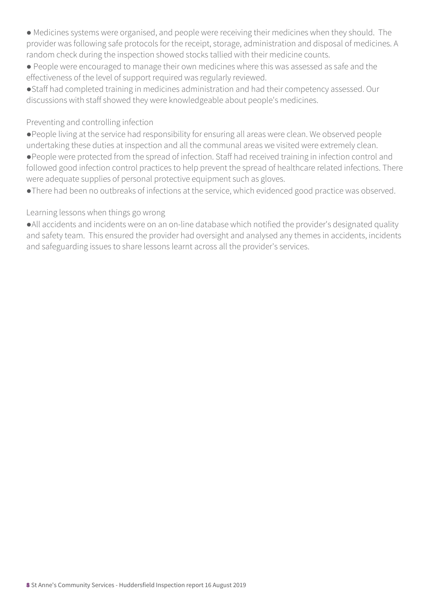- Medicines systems were organised, and people were receiving their medicines when they should. The provider was following safe protocols for the receipt, storage, administration and disposal of medicines. A random check during the inspection showed stocks tallied with their medicine counts.
- People were encouraged to manage their own medicines where this was assessed as safe and the effectiveness of the level of support required was regularly reviewed.
- ●Staff had completed training in medicines administration and had their competency assessed. Our discussions with staff showed they were knowledgeable about people's medicines.

#### Preventing and controlling infection

- ●People living at the service had responsibility for ensuring all areas were clean. We observed people undertaking these duties at inspection and all the communal areas we visited were extremely clean.
- ●People were protected from the spread of infection. Staff had received training in infection control and followed good infection control practices to help prevent the spread of healthcare related infections. There were adequate supplies of personal protective equipment such as gloves.
- ●There had been no outbreaks of infections at the service, which evidenced good practice was observed.

#### Learning lessons when things go wrong

●All accidents and incidents were on an on-line database which notified the provider's designated quality and safety team. This ensured the provider had oversight and analysed any themes in accidents, incidents and safeguarding issues to share lessons learnt across all the provider's services.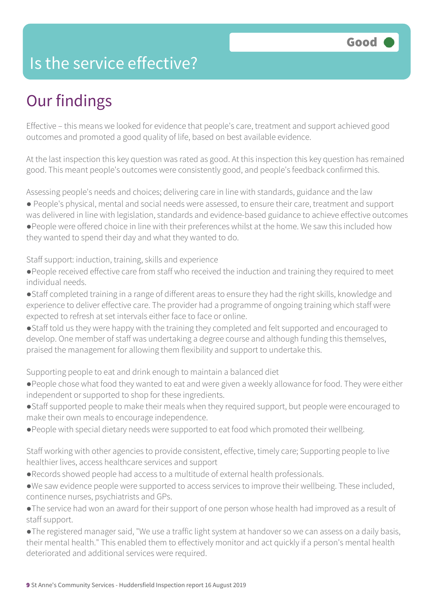### Is the service effective?

## Our findings

Effective – this means we looked for evidence that people's care, treatment and support achieved good outcomes and promoted a good quality of life, based on best available evidence.

At the last inspection this key question was rated as good. At this inspection this key question has remained good. This meant people's outcomes were consistently good, and people's feedback confirmed this.

Assessing people's needs and choices; delivering care in line with standards, guidance and the law

- People's physical, mental and social needs were assessed, to ensure their care, treatment and support
- was delivered in line with legislation, standards and evidence-based guidance to achieve effective outcomes ●People were offered choice in line with their preferences whilst at the home. We saw this included how

they wanted to spend their day and what they wanted to do.

Staff support: induction, training, skills and experience

- ●People received effective care from staff who received the induction and training they required to meet individual needs.
- ●Staff completed training in a range of different areas to ensure they had the right skills, knowledge and experience to deliver effective care. The provider had a programme of ongoing training which staff were expected to refresh at set intervals either face to face or online.
- ●Staff told us they were happy with the training they completed and felt supported and encouraged to develop. One member of staff was undertaking a degree course and although funding this themselves, praised the management for allowing them flexibility and support to undertake this.

Supporting people to eat and drink enough to maintain a balanced diet

- ●People chose what food they wanted to eat and were given a weekly allowance for food. They were either independent or supported to shop for these ingredients.
- ●Staff supported people to make their meals when they required support, but people were encouraged to make their own meals to encourage independence.
- ●People with special dietary needs were supported to eat food which promoted their wellbeing.

Staff working with other agencies to provide consistent, effective, timely care; Supporting people to live healthier lives, access healthcare services and support

- ●Records showed people had access to a multitude of external health professionals.
- ●We saw evidence people were supported to access services to improve their wellbeing. These included, continence nurses, psychiatrists and GPs.
- ●The service had won an award for their support of one person whose health had improved as a result of staff support.
- ●The registered manager said, "We use a traffic light system at handover so we can assess on a daily basis, their mental health." This enabled them to effectively monitor and act quickly if a person's mental health deteriorated and additional services were required.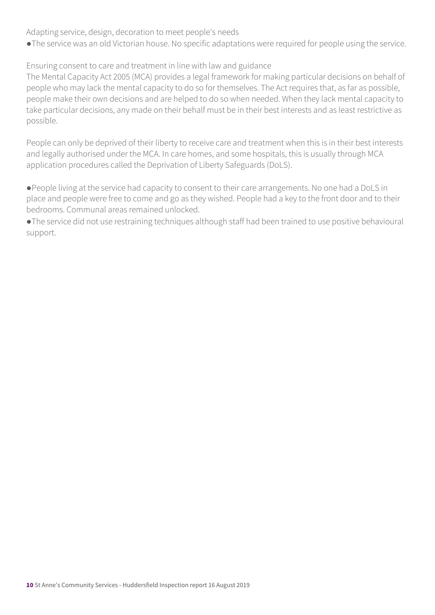Adapting service, design, decoration to meet people's needs

●The service was an old Victorian house. No specific adaptations were required for people using the service.

Ensuring consent to care and treatment in line with law and guidance

The Mental Capacity Act 2005 (MCA) provides a legal framework for making particular decisions on behalf of people who may lack the mental capacity to do so for themselves. The Act requires that, as far as possible, people make their own decisions and are helped to do so when needed. When they lack mental capacity to take particular decisions, any made on their behalf must be in their best interests and as least restrictive as possible.

People can only be deprived of their liberty to receive care and treatment when this is in their best interests and legally authorised under the MCA. In care homes, and some hospitals, this is usually through MCA application procedures called the Deprivation of Liberty Safeguards (DoLS).

●People living at the service had capacity to consent to their care arrangements. No one had a DoLS in place and people were free to come and go as they wished. People had a key to the front door and to their bedrooms. Communal areas remained unlocked.

●The service did not use restraining techniques although staff had been trained to use positive behavioural support.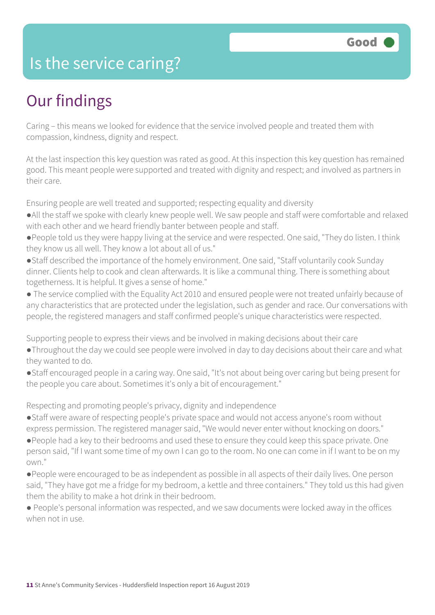### Is the service caring?

### Our findings

Caring – this means we looked for evidence that the service involved people and treated them with compassion, kindness, dignity and respect.

At the last inspection this key question was rated as good. At this inspection this key question has remained good. This meant people were supported and treated with dignity and respect; and involved as partners in their care.

Ensuring people are well treated and supported; respecting equality and diversity

- ●All the staff we spoke with clearly knew people well. We saw people and staff were comfortable and relaxed with each other and we heard friendly banter between people and staff.
- ●People told us they were happy living at the service and were respected. One said, "They do listen. I think they know us all well. They know a lot about all of us."
- ●Staff described the importance of the homely environment. One said, "Staff voluntarily cook Sunday dinner. Clients help to cook and clean afterwards. It is like a communal thing. There is something about togetherness. It is helpful. It gives a sense of home."
- The service complied with the Equality Act 2010 and ensured people were not treated unfairly because of any characteristics that are protected under the legislation, such as gender and race. Our conversations with people, the registered managers and staff confirmed people's unique characteristics were respected.

Supporting people to express their views and be involved in making decisions about their care

- ●Throughout the day we could see people were involved in day to day decisions about their care and what they wanted to do.
- ●Staff encouraged people in a caring way. One said, "It's not about being over caring but being present for the people you care about. Sometimes it's only a bit of encouragement."

Respecting and promoting people's privacy, dignity and independence

- ●Staff were aware of respecting people's private space and would not access anyone's room without express permission. The registered manager said, "We would never enter without knocking on doors."
- ●People had a key to their bedrooms and used these to ensure they could keep this space private. One person said, "If I want some time of my own I can go to the room. No one can come in if I want to be on my own."
- ●People were encouraged to be as independent as possible in all aspects of their daily lives. One person said, "They have got me a fridge for my bedroom, a kettle and three containers." They told us this had given them the ability to make a hot drink in their bedroom.
- People's personal information was respected, and we saw documents were locked away in the offices when not in use.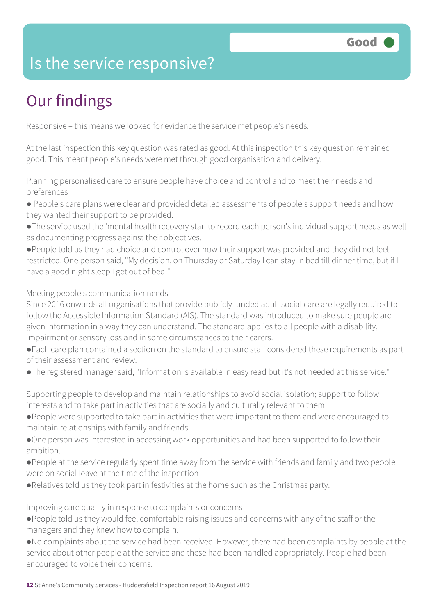### Is the service responsive?

# Our findings

Responsive – this means we looked for evidence the service met people's needs.

At the last inspection this key question was rated as good. At this inspection this key question remained good. This meant people's needs were met through good organisation and delivery.

Planning personalised care to ensure people have choice and control and to meet their needs and preferences

- People's care plans were clear and provided detailed assessments of people's support needs and how they wanted their support to be provided.
- ●The service used the 'mental health recovery star' to record each person's individual support needs as well as documenting progress against their objectives.
- ●People told us they had choice and control over how their support was provided and they did not feel restricted. One person said, "My decision, on Thursday or Saturday I can stay in bed till dinner time, but if I have a good night sleep I get out of bed."

Meeting people's communication needs

Since 2016 onwards all organisations that provide publicly funded adult social care are legally required to follow the Accessible Information Standard (AIS). The standard was introduced to make sure people are given information in a way they can understand. The standard applies to all people with a disability, impairment or sensory loss and in some circumstances to their carers.

- ●Each care plan contained a section on the standard to ensure staff considered these requirements as part of their assessment and review.
- ●The registered manager said, "Information is available in easy read but it's not needed at this service."

Supporting people to develop and maintain relationships to avoid social isolation; support to follow interests and to take part in activities that are socially and culturally relevant to them

- ●People were supported to take part in activities that were important to them and were encouraged to maintain relationships with family and friends.
- ●One person was interested in accessing work opportunities and had been supported to follow their ambition.
- ●People at the service regularly spent time away from the service with friends and family and two people were on social leave at the time of the inspection
- ●Relatives told us they took part in festivities at the home such as the Christmas party.

Improving care quality in response to complaints or concerns

- ●People told us they would feel comfortable raising issues and concerns with any of the staff or the managers and they knew how to complain.
- ●No complaints about the service had been received. However, there had been complaints by people at the service about other people at the service and these had been handled appropriately. People had been encouraged to voice their concerns.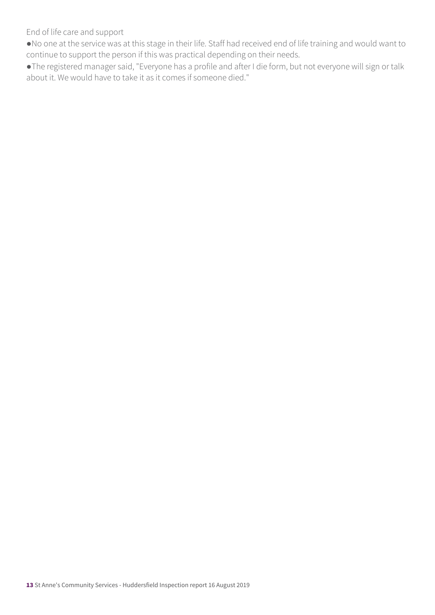End of life care and support

●No one at the service was at this stage in their life. Staff had received end of life training and would want to continue to support the person if this was practical depending on their needs.

●The registered manager said, "Everyone has a profile and after I die form, but not everyone will sign or talk about it. We would have to take it as it comes if someone died."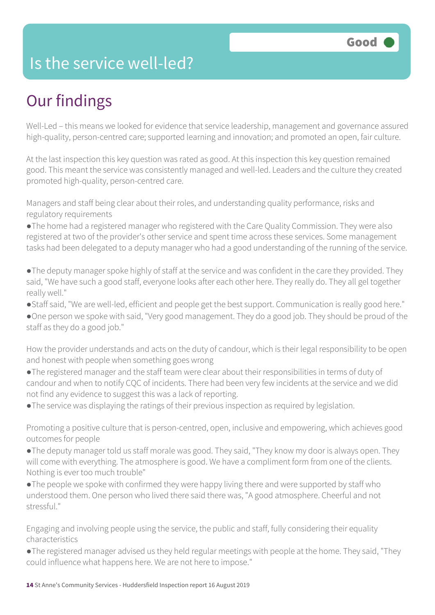### Is the service well-led?

### Our findings

Well-Led – this means we looked for evidence that service leadership, management and governance assured high-quality, person-centred care; supported learning and innovation; and promoted an open, fair culture.

At the last inspection this key question was rated as good. At this inspection this key question remained good. This meant the service was consistently managed and well-led. Leaders and the culture they created promoted high-quality, person-centred care.

Managers and staff being clear about their roles, and understanding quality performance, risks and regulatory requirements

●The home had a registered manager who registered with the Care Quality Commission. They were also registered at two of the provider's other service and spent time across these services. Some management tasks had been delegated to a deputy manager who had a good understanding of the running of the service.

●The deputy manager spoke highly of staff at the service and was confident in the care they provided. They said, "We have such a good staff, everyone looks after each other here. They really do. They all gel together really well."

●Staff said, "We are well-led, efficient and people get the best support. Communication is really good here."

●One person we spoke with said, "Very good management. They do a good job. They should be proud of the staff as they do a good job."

How the provider understands and acts on the duty of candour, which is their legal responsibility to be open and honest with people when something goes wrong

●The registered manager and the staff team were clear about their responsibilities in terms of duty of candour and when to notify CQC of incidents. There had been very few incidents at the service and we did not find any evidence to suggest this was a lack of reporting.

●The service was displaying the ratings of their previous inspection as required by legislation.

Promoting a positive culture that is person-centred, open, inclusive and empowering, which achieves good outcomes for people

●The deputy manager told us staff morale was good. They said, "They know my door is always open. They will come with everything. The atmosphere is good. We have a compliment form from one of the clients. Nothing is ever too much trouble"

●The people we spoke with confirmed they were happy living there and were supported by staff who understood them. One person who lived there said there was, "A good atmosphere. Cheerful and not stressful."

Engaging and involving people using the service, the public and staff, fully considering their equality characteristics

●The registered manager advised us they held regular meetings with people at the home. They said, "They could influence what happens here. We are not here to impose."